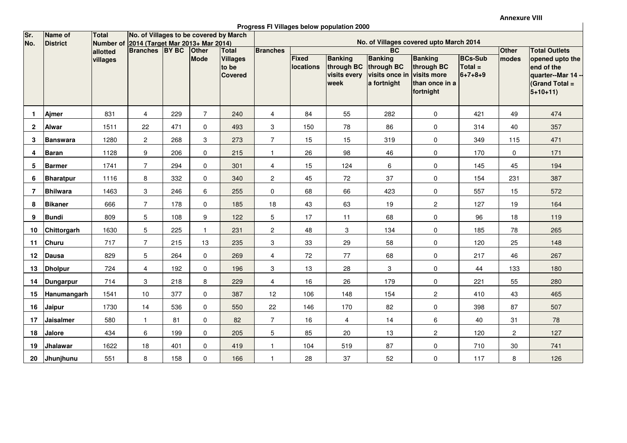Annexure VIII

 $\overline{\phantom{a}}$ 

**Progress FI Villages below population 2000**

| Sr.                     | Name of<br><b>District</b> | <b>Total</b><br>Number of<br>allotted | No. of Villages to be covered by March             |     |                |                                            |                           |                                               |                                                      |                                                               |                                                                            |                                                |                |                                                                                         |  |
|-------------------------|----------------------------|---------------------------------------|----------------------------------------------------|-----|----------------|--------------------------------------------|---------------------------|-----------------------------------------------|------------------------------------------------------|---------------------------------------------------------------|----------------------------------------------------------------------------|------------------------------------------------|----------------|-----------------------------------------------------------------------------------------|--|
| No.                     |                            |                                       | 2014 (Target Mar 2013+ Mar 2014)<br>Branches BY BC |     | <b>Other</b>   | <b>Total</b>                               | <b>Branches</b>           | No. of Villages covered upto March 2014<br>BC |                                                      |                                                               |                                                                            |                                                | <b>Other</b>   | <b>Total Outlets</b>                                                                    |  |
|                         |                            | villages                              |                                                    |     | <b>Mode</b>    | <b>Villages</b><br>to be<br><b>Covered</b> |                           | <b>Fixed</b><br><b>locations</b>              | <b>Banking</b><br>through BC<br>visits every<br>week | <b>Banking</b><br>through BC<br>visits once in<br>a fortnight | <b>Banking</b><br>through BC<br>visits more<br>than once in a<br>fortnight | <b>BCs-Sub</b><br>$Total =$<br>$6 + 7 + 8 + 9$ | modes          | opened upto the<br>end of the<br>quarter--Mar 14 -<br><b>Grand Total =</b><br>$5+10+11$ |  |
| -1                      | Ajmer                      | 831                                   | $\overline{4}$                                     | 229 | $\overline{7}$ | 240                                        | $\overline{4}$            | 84                                            | 55                                                   | 282                                                           | $\mathbf 0$                                                                | 421                                            | 49             | 474                                                                                     |  |
| $\overline{\mathbf{2}}$ | <b>Alwar</b>               | 1511                                  | 22                                                 | 471 | 0              | 493                                        | $\mathbf{3}$              | 150                                           | 78                                                   | 86                                                            | $\mathbf 0$                                                                | 314                                            | 40             | 357                                                                                     |  |
| 3                       | <b>Banswara</b>            | 1280                                  | $\mathbf{2}$                                       | 268 | 3              | 273                                        | $\overline{7}$            | 15                                            | 15                                                   | 319                                                           | $\mathbf 0$                                                                | 349                                            | 115            | 471                                                                                     |  |
| 4                       | <b>Baran</b>               | 1128                                  | 9                                                  | 206 | 0              | 215                                        | $\mathbf{1}$              | 26                                            | 98                                                   | 46                                                            | $\mathbf 0$                                                                | 170                                            | 0              | 171                                                                                     |  |
| 5                       | <b>Barmer</b>              | 1741                                  | $\overline{7}$                                     | 294 | 0              | 301                                        | 4                         | 15                                            | 124                                                  | 6                                                             | $\mathbf 0$                                                                | 145                                            | 45             | 194                                                                                     |  |
| 6                       | <b>Bharatpur</b>           | 1116                                  | 8                                                  | 332 | $\mathbf 0$    | 340                                        | $\mathbf{2}$              | 45                                            | 72                                                   | 37                                                            | $\mathbf 0$                                                                | 154                                            | 231            | 387                                                                                     |  |
| $\overline{7}$          | <b>Bhilwara</b>            | 1463                                  | 3                                                  | 246 | 6              | 255                                        | $\mathbf 0$               | 68                                            | 66                                                   | 423                                                           | $\mathbf 0$                                                                | 557                                            | 15             | 572                                                                                     |  |
| 8                       | <b>Bikaner</b>             | 666                                   | $\overline{7}$                                     | 178 | 0              | 185                                        | 18                        | 43                                            | 63                                                   | 19                                                            | $\overline{c}$                                                             | 127                                            | 19             | 164                                                                                     |  |
| 9                       | <b>Bundi</b>               | 809                                   | 5                                                  | 108 | 9              | 122                                        | 5                         | 17                                            | 11                                                   | 68                                                            | $\mathsf{O}\xspace$                                                        | 96                                             | 18             | 119                                                                                     |  |
| 10                      | Chittorgarh                | 1630                                  | 5                                                  | 225 | $\mathbf{1}$   | 231                                        | $\mathbf{2}$              | 48                                            | 3                                                    | 134                                                           | $\mathbf 0$                                                                | 185                                            | 78             | 265                                                                                     |  |
| 11                      | Churu                      | 717                                   | $\overline{7}$                                     | 215 | 13             | 235                                        | $\mathbf{3}$              | 33                                            | 29                                                   | 58                                                            | $\mathbf 0$                                                                | 120                                            | 25             | 148                                                                                     |  |
| 12                      | Dausa                      | 829                                   | $\,$ 5 $\,$                                        | 264 | $\mathbf 0$    | 269                                        | $\overline{4}$            | 72                                            | 77                                                   | 68                                                            | $\mathsf{O}\xspace$                                                        | 217                                            | 46             | 267                                                                                     |  |
| 13                      | <b>Dholpur</b>             | 724                                   | $\overline{4}$                                     | 192 | $\pmb{0}$      | 196                                        | $\ensuremath{\mathsf{3}}$ | 13                                            | 28                                                   | 3                                                             | $\mathbf 0$                                                                | 44                                             | 133            | 180                                                                                     |  |
| 14                      | Dungarpur                  | 714                                   | 3                                                  | 218 | 8              | 229                                        | $\overline{\mathbf{4}}$   | 16                                            | 26                                                   | 179                                                           | $\pmb{0}$                                                                  | 221                                            | 55             | 280                                                                                     |  |
| 15                      | <b>Hanumangarh</b>         | 1541                                  | 10                                                 | 377 | 0              | 387                                        | 12                        | 106                                           | 148                                                  | 154                                                           | $\overline{2}$                                                             | 410                                            | 43             | 465                                                                                     |  |
| 16                      | Jaipur                     | 1730                                  | 14                                                 | 536 | 0              | 550                                        | 22                        | 146                                           | 170                                                  | 82                                                            | $\mathbf 0$                                                                | 398                                            | 87             | 507                                                                                     |  |
| 17                      | <b>Jaisalmer</b>           | 580                                   | $\mathbf{1}$                                       | 81  | $\mathbf 0$    | 82                                         | $\overline{7}$            | 16                                            | $\overline{4}$                                       | 14                                                            | $\,6\,$                                                                    | 40                                             | 31             | 78                                                                                      |  |
| 18                      | <b>Jalore</b>              | 434                                   | 6                                                  | 199 | 0              | 205                                        | 5                         | 85                                            | 20                                                   | 13                                                            | $\overline{c}$                                                             | 120                                            | $\overline{c}$ | 127                                                                                     |  |
| 19                      | Jhalawar                   | 1622                                  | 18                                                 | 401 | 0              | 419                                        | $\mathbf{1}$              | 104                                           | 519                                                  | 87                                                            | $\mathbf 0$                                                                | 710                                            | 30             | 741                                                                                     |  |
| 20                      | Jhunjhunu                  | 551                                   | 8                                                  | 158 | 0              | 166                                        | $\overline{1}$            | 28                                            | 37                                                   | 52                                                            | $\mathbf 0$                                                                | 117                                            | 8              | 126                                                                                     |  |